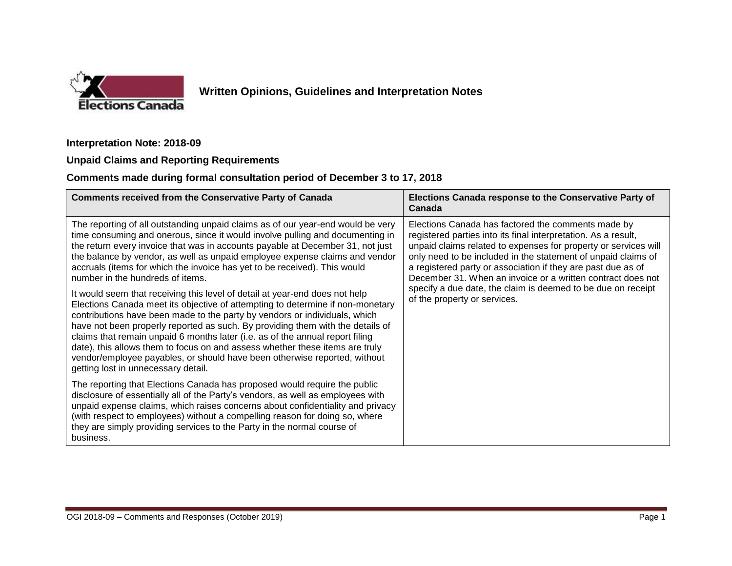

# **Written Opinions, Guidelines and Interpretation Notes**

#### **Interpretation Note: 2018-09**

### **Unpaid Claims and Reporting Requirements**

### **Comments made during formal consultation period of December 3 to 17, 2018**

| <b>Comments received from the Conservative Party of Canada</b>                                                                                                                                                                                                                                                                                                                                                                                                                                                                                                                                                     | Elections Canada response to the Conservative Party of<br>Canada                                                                                                                                                                                                                                                                                                                                                                                                                        |
|--------------------------------------------------------------------------------------------------------------------------------------------------------------------------------------------------------------------------------------------------------------------------------------------------------------------------------------------------------------------------------------------------------------------------------------------------------------------------------------------------------------------------------------------------------------------------------------------------------------------|-----------------------------------------------------------------------------------------------------------------------------------------------------------------------------------------------------------------------------------------------------------------------------------------------------------------------------------------------------------------------------------------------------------------------------------------------------------------------------------------|
| The reporting of all outstanding unpaid claims as of our year-end would be very<br>time consuming and onerous, since it would involve pulling and documenting in<br>the return every invoice that was in accounts payable at December 31, not just<br>the balance by vendor, as well as unpaid employee expense claims and vendor<br>accruals (items for which the invoice has yet to be received). This would<br>number in the hundreds of items.                                                                                                                                                                 | Elections Canada has factored the comments made by<br>registered parties into its final interpretation. As a result,<br>unpaid claims related to expenses for property or services will<br>only need to be included in the statement of unpaid claims of<br>a registered party or association if they are past due as of<br>December 31. When an invoice or a written contract does not<br>specify a due date, the claim is deemed to be due on receipt<br>of the property or services. |
| It would seem that receiving this level of detail at year-end does not help<br>Elections Canada meet its objective of attempting to determine if non-monetary<br>contributions have been made to the party by vendors or individuals, which<br>have not been properly reported as such. By providing them with the details of<br>claims that remain unpaid 6 months later (i.e. as of the annual report filing<br>date), this allows them to focus on and assess whether these items are truly<br>vendor/employee payables, or should have been otherwise reported, without<br>getting lost in unnecessary detail. |                                                                                                                                                                                                                                                                                                                                                                                                                                                                                         |
| The reporting that Elections Canada has proposed would require the public<br>disclosure of essentially all of the Party's vendors, as well as employees with<br>unpaid expense claims, which raises concerns about confidentiality and privacy<br>(with respect to employees) without a compelling reason for doing so, where<br>they are simply providing services to the Party in the normal course of<br>business.                                                                                                                                                                                              |                                                                                                                                                                                                                                                                                                                                                                                                                                                                                         |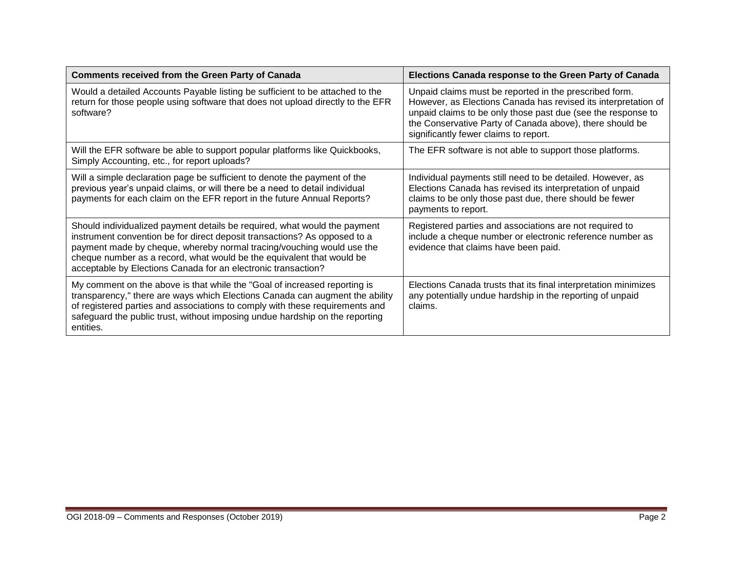| <b>Comments received from the Green Party of Canada</b>                                                                                                                                                                                                                                                                                                                   | Elections Canada response to the Green Party of Canada                                                                                                                                                                                                                                        |
|---------------------------------------------------------------------------------------------------------------------------------------------------------------------------------------------------------------------------------------------------------------------------------------------------------------------------------------------------------------------------|-----------------------------------------------------------------------------------------------------------------------------------------------------------------------------------------------------------------------------------------------------------------------------------------------|
| Would a detailed Accounts Payable listing be sufficient to be attached to the<br>return for those people using software that does not upload directly to the EFR<br>software?                                                                                                                                                                                             | Unpaid claims must be reported in the prescribed form.<br>However, as Elections Canada has revised its interpretation of<br>unpaid claims to be only those past due (see the response to<br>the Conservative Party of Canada above), there should be<br>significantly fewer claims to report. |
| Will the EFR software be able to support popular platforms like Quickbooks,<br>Simply Accounting, etc., for report uploads?                                                                                                                                                                                                                                               | The EFR software is not able to support those platforms.                                                                                                                                                                                                                                      |
| Will a simple declaration page be sufficient to denote the payment of the<br>previous year's unpaid claims, or will there be a need to detail individual<br>payments for each claim on the EFR report in the future Annual Reports?                                                                                                                                       | Individual payments still need to be detailed. However, as<br>Elections Canada has revised its interpretation of unpaid<br>claims to be only those past due, there should be fewer<br>payments to report.                                                                                     |
| Should individualized payment details be required, what would the payment<br>instrument convention be for direct deposit transactions? As opposed to a<br>payment made by cheque, whereby normal tracing/vouching would use the<br>cheque number as a record, what would be the equivalent that would be<br>acceptable by Elections Canada for an electronic transaction? | Registered parties and associations are not required to<br>include a cheque number or electronic reference number as<br>evidence that claims have been paid.                                                                                                                                  |
| My comment on the above is that while the "Goal of increased reporting is<br>transparency," there are ways which Elections Canada can augment the ability<br>of registered parties and associations to comply with these requirements and<br>safeguard the public trust, without imposing undue hardship on the reporting<br>entities.                                    | Elections Canada trusts that its final interpretation minimizes<br>any potentially undue hardship in the reporting of unpaid<br>claims.                                                                                                                                                       |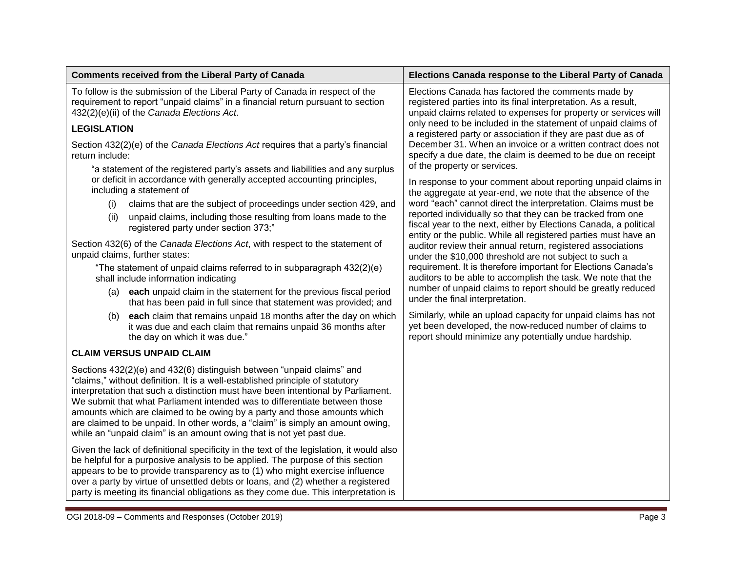| <b>Comments received from the Liberal Party of Canada</b>                                                                                                                                                                                                                                                                                                                                                                                                                                                                                                      | Elections Canada response to the Liberal Party of Canada                                                                                                                                          |
|----------------------------------------------------------------------------------------------------------------------------------------------------------------------------------------------------------------------------------------------------------------------------------------------------------------------------------------------------------------------------------------------------------------------------------------------------------------------------------------------------------------------------------------------------------------|---------------------------------------------------------------------------------------------------------------------------------------------------------------------------------------------------|
| To follow is the submission of the Liberal Party of Canada in respect of the<br>requirement to report "unpaid claims" in a financial return pursuant to section<br>432(2)(e)(ii) of the Canada Elections Act.                                                                                                                                                                                                                                                                                                                                                  | Elections Canada has factored the comments made by<br>registered parties into its final interpretation. As a result,<br>unpaid claims related to expenses for property or services will           |
| <b>LEGISLATION</b>                                                                                                                                                                                                                                                                                                                                                                                                                                                                                                                                             | only need to be included in the statement of unpaid claims of<br>a registered party or association if they are past due as of                                                                     |
| Section 432(2)(e) of the Canada Elections Act requires that a party's financial<br>return include:<br>"a statement of the registered party's assets and liabilities and any surplus                                                                                                                                                                                                                                                                                                                                                                            | December 31. When an invoice or a written contract does not<br>specify a due date, the claim is deemed to be due on receipt<br>of the property or services.                                       |
| or deficit in accordance with generally accepted accounting principles,<br>including a statement of                                                                                                                                                                                                                                                                                                                                                                                                                                                            | In response to your comment about reporting unpaid claims in<br>the aggregate at year-end, we note that the absence of the                                                                        |
| claims that are the subject of proceedings under section 429, and<br>(i)                                                                                                                                                                                                                                                                                                                                                                                                                                                                                       | word "each" cannot direct the interpretation. Claims must be                                                                                                                                      |
| unpaid claims, including those resulting from loans made to the<br>(ii)<br>registered party under section 373;"                                                                                                                                                                                                                                                                                                                                                                                                                                                | reported individually so that they can be tracked from one<br>fiscal year to the next, either by Elections Canada, a political<br>entity or the public. While all registered parties must have an |
| Section 432(6) of the Canada Elections Act, with respect to the statement of<br>unpaid claims, further states:                                                                                                                                                                                                                                                                                                                                                                                                                                                 | auditor review their annual return, registered associations<br>under the \$10,000 threshold are not subject to such a                                                                             |
| "The statement of unpaid claims referred to in subparagraph 432(2)(e)<br>shall include information indicating                                                                                                                                                                                                                                                                                                                                                                                                                                                  | requirement. It is therefore important for Elections Canada's<br>auditors to be able to accomplish the task. We note that the                                                                     |
| each unpaid claim in the statement for the previous fiscal period<br>(a)<br>that has been paid in full since that statement was provided; and                                                                                                                                                                                                                                                                                                                                                                                                                  | number of unpaid claims to report should be greatly reduced<br>under the final interpretation.                                                                                                    |
| each claim that remains unpaid 18 months after the day on which<br>(b)<br>it was due and each claim that remains unpaid 36 months after<br>the day on which it was due."                                                                                                                                                                                                                                                                                                                                                                                       | Similarly, while an upload capacity for unpaid claims has not<br>yet been developed, the now-reduced number of claims to<br>report should minimize any potentially undue hardship.                |
| <b>CLAIM VERSUS UNPAID CLAIM</b>                                                                                                                                                                                                                                                                                                                                                                                                                                                                                                                               |                                                                                                                                                                                                   |
| Sections 432(2)(e) and 432(6) distinguish between "unpaid claims" and<br>"claims," without definition. It is a well-established principle of statutory<br>interpretation that such a distinction must have been intentional by Parliament.<br>We submit that what Parliament intended was to differentiate between those<br>amounts which are claimed to be owing by a party and those amounts which<br>are claimed to be unpaid. In other words, a "claim" is simply an amount owing,<br>while an "unpaid claim" is an amount owing that is not yet past due. |                                                                                                                                                                                                   |
| Given the lack of definitional specificity in the text of the legislation, it would also<br>be helpful for a purposive analysis to be applied. The purpose of this section<br>appears to be to provide transparency as to (1) who might exercise influence<br>over a party by virtue of unsettled debts or loans, and (2) whether a registered<br>party is meeting its financial obligations as they come due. This interpretation is                                                                                                                          |                                                                                                                                                                                                   |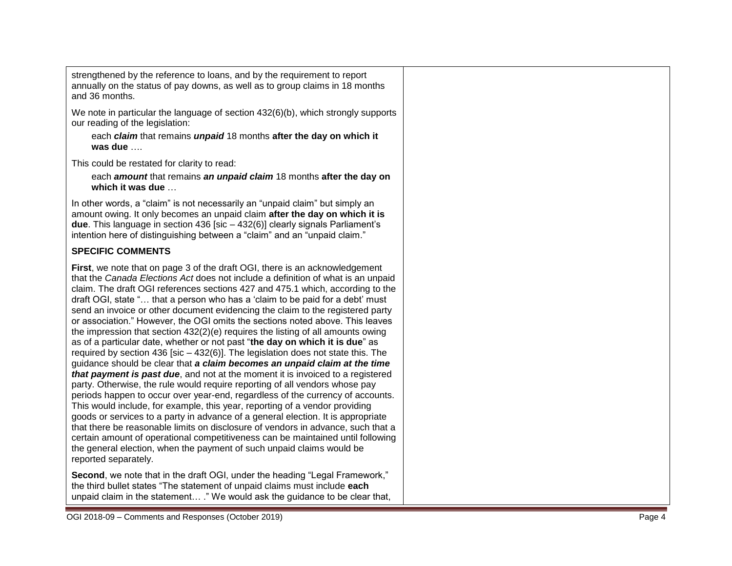strengthened by the reference to loans, and by the requirement to report annually on the status of pay downs, as well as to group claims in 18 months and 36 months.

We note in particular the language of section 432(6)(b), which strongly supports our reading of the legislation:

each *claim* that remains *unpaid* 18 months **after the day on which it was due** ….

This could be restated for clarity to read:

each *amount* that remains *an unpaid claim* 18 months **after the day on which it was due** …

In other words, a "claim" is not necessarily an "unpaid claim" but simply an amount owing. It only becomes an unpaid claim **after the day on which it is**  due. This language in section 436 [sic – 432(6)] clearly signals Parliament's intention here of distinguishing between a "claim" and an "unpaid claim."

## **SPECIFIC COMMENTS**

**First** , we note that on page 3 of the draft OGI, there is an acknowledgement that the *Canada Elections Act* does not include a definition of what is an unpaid claim. The draft OGI references sections 427 and 475.1 which, according to the draft OGI, state "… that a person who has a 'claim to be paid for a debt' must send an invoice or other document evidencing the claim to the registered party or association." However, the OGI omits the sections noted above. This leaves the impression that section 432(2)(e) requires the listing of all amounts owing as of a particular date, whether or not past "**the day on which it is due**" as required by section 436 [sic – 432(6)]. The legislation does not state this. The guidance should be clear that *a claim becomes an unpaid claim at the time that payment is past due*, and not at the moment it is invoiced to a registered party. Otherwise, the rule would require reporting of all vendors whose pay periods happen to occur over year -end, regardless of the currency of accounts. This would include, for example, this year, reporting of a vendor providing goods or services to a party in advance of a general election. It is appropriate that there be reasonable limits on disclosure of vendors in advance, such that a certain amount of operational competitiveness can be maintained until following the general election, when the payment of such unpaid claim s would be reported separately.

**Second**, we note that in the draft OGI, under the heading "Legal Framework," the third bullet states "The statement of unpaid claims must include **each** unpaid claim in the statement… ." We would ask the guidance to be clear that,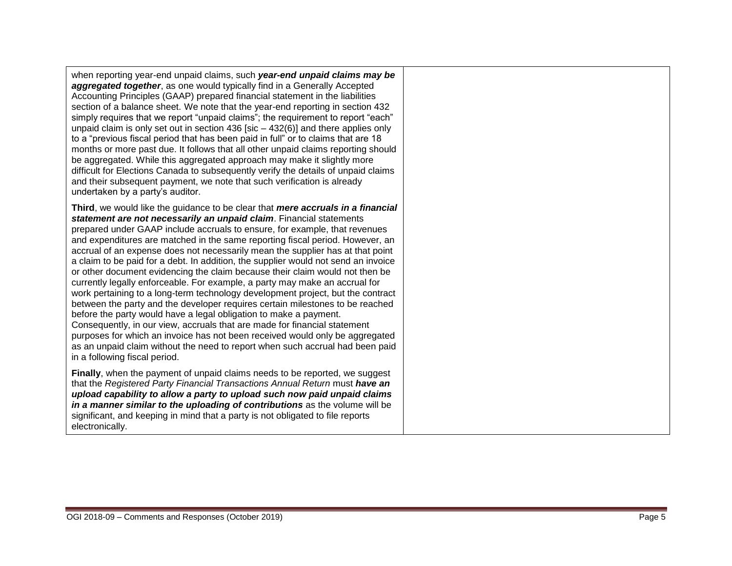when reporting year -end unpaid claims, such *year-end unpaid claims may be*  **aggregated together**, as one would typically find in a Generally Accepted Accounting Principles (GAAP) prepared financial statement in the liabilities section of a balance sheet. We note that the year -end reporting in section 432 simply requires that we report "unpaid claims"; the requirement to report "each" unpaid claim is only set out in section 436 [sic – 432(6)] and there applies only to a "previous fiscal period that has been paid in full" or to claims that are 18 months or more past due. It follows that all other unpaid claims reporting should be aggregated. While this aggregated approach may make it slightly more difficult for Elections Canada to subsequently verify the details of unpaid claims and their subsequent payment, we note that such verification is already undertaken by a party's auditor.

**Third**, we would like the guidance to be clear that *mere accruals in a financial statement are not necessarily an unpaid claim*. Financial statements prepared under GAAP include accruals to ensure, for example, that revenues and expenditures are matched in the same reporting fiscal period. However, an accrual of an expense does not necessarily mean the supplier has at that point a claim to be paid for a debt. In addition, the supplier would not send an invoice or other document evidencing the claim because their claim would not then be currently legally enforceable. For example, a party may make an accrual for work pertaining to a long-term technology development project, but the contract between the party and the developer requires certain milestones to be reached before the party would have a legal obligation to make a payment. Consequently, in our view, accruals that are made for financial statement purposes for which an invoice has not been received would only be aggregated as an unpaid claim without the need to report when such accrual had been paid in a following fiscal period.

**Finally**, when the payment of unpaid claims needs to be reported, we suggest that the *Registered Party Financial Transactions Annual Return* must *have an upload capability to allow a party to upload such now paid unpaid claims in a manner similar to the uploading of contributions* as the volume will be significant, and keeping in mind that a party is not obligated to file reports electronically.